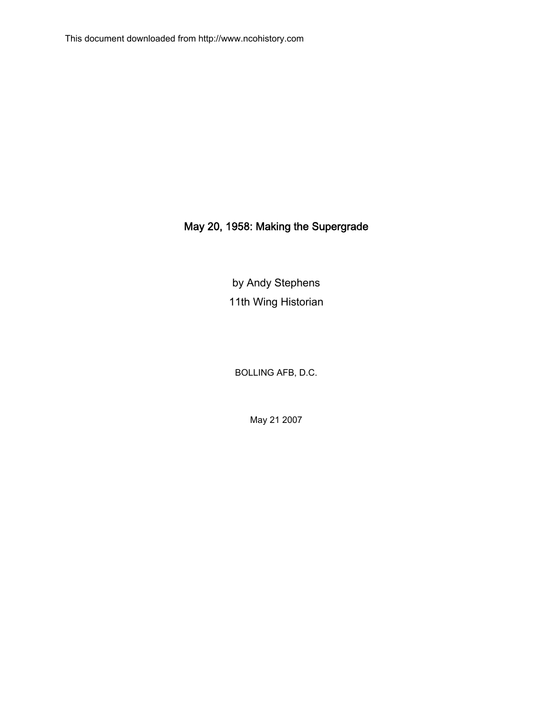## May 20, 1958: Making the Supergrade

by Andy Stephens 11th Wing Historian

BOLLING AFB, D.C.

May 21 2007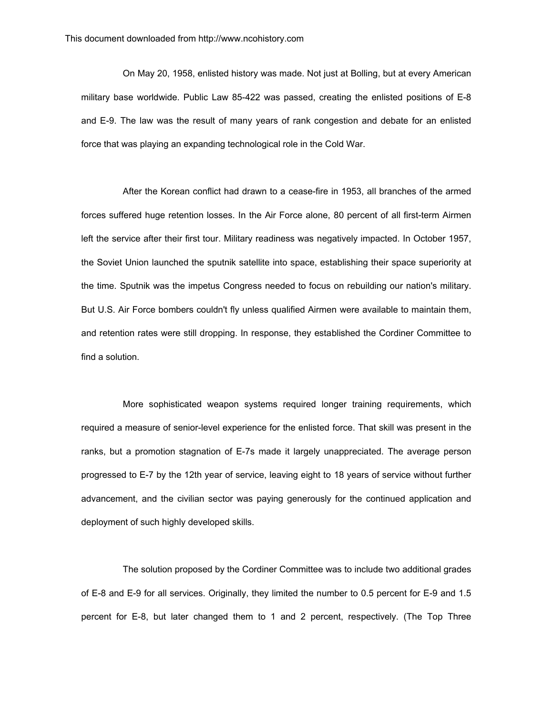On May 20, 1958, enlisted history was made. Not just at Bolling, but at every American military base worldwide. Public Law 85-422 was passed, creating the enlisted positions of E-8 and E-9. The law was the result of many years of rank congestion and debate for an enlisted force that was playing an expanding technological role in the Cold War.

After the Korean conflict had drawn to a cease-fire in 1953, all branches of the armed forces suffered huge retention losses. In the Air Force alone, 80 percent of all first-term Airmen left the service after their first tour. Military readiness was negatively impacted. In October 1957, the Soviet Union launched the sputnik satellite into space, establishing their space superiority at the time. Sputnik was the impetus Congress needed to focus on rebuilding our nation's military. But U.S. Air Force bombers couldn't fly unless qualified Airmen were available to maintain them, and retention rates were still dropping. In response, they established the Cordiner Committee to find a solution.

More sophisticated weapon systems required longer training requirements, which required a measure of senior-level experience for the enlisted force. That skill was present in the ranks, but a promotion stagnation of E-7s made it largely unappreciated. The average person progressed to E-7 by the 12th year of service, leaving eight to 18 years of service without further advancement, and the civilian sector was paying generously for the continued application and deployment of such highly developed skills.

The solution proposed by the Cordiner Committee was to include two additional grades of E-8 and E-9 for all services. Originally, they limited the number to 0.5 percent for E-9 and 1.5 percent for E-8, but later changed them to 1 and 2 percent, respectively. (The Top Three